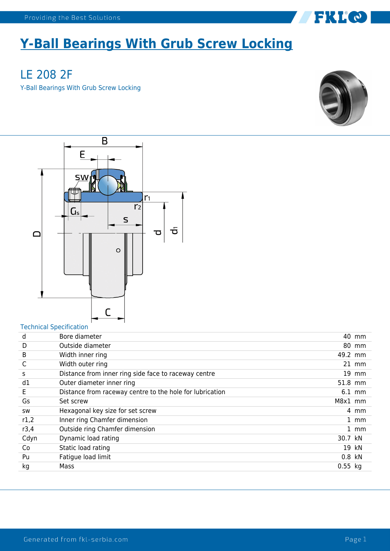## **Y-Ball Bearings With Grub Screw Locking**

LE 208 2F Y-Ball Bearings With Grub Screw Locking



FKLO



## Technical Specification

| d         | Bore diameter                                            |             | 40 mm   |
|-----------|----------------------------------------------------------|-------------|---------|
| D         | Outside diameter                                         |             | 80 mm   |
| B         | Width inner ring                                         | 49.2 mm     |         |
| C         | Width outer ring                                         |             | $21$ mm |
| S         | Distance from inner ring side face to raceway centre     |             | 19 mm   |
| d1        | Outer diameter inner ring                                | 51.8 mm     |         |
| E         | Distance from raceway centre to the hole for lubrication |             | 6.1 mm  |
| Gs        | Set screw                                                | M8x1 mm     |         |
| <b>SW</b> | Hexagonal key size for set screw                         |             | 4 mm    |
| r1,2      | Inner ring Chamfer dimension                             |             | $1$ mm  |
| r3,4      | Outside ring Chamfer dimension                           |             | $1$ mm  |
| Cdyn      | Dynamic load rating                                      | 30.7 kN     |         |
| Co        | Static load rating                                       |             | 19 kN   |
| Pu        | Fatigue load limit                                       | 0.8 kN      |         |
| kg        | Mass                                                     | $0.55$ $kg$ |         |